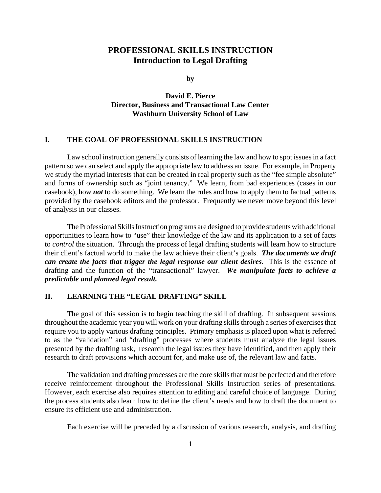#### **PROFESSIONAL SKILLS INSTRUCTION Introduction to Legal Drafting**

**by**

**David E. Pierce Director, Business and Transactional Law Center Washburn University School of Law**

#### **I. THE GOAL OF PROFESSIONAL SKILLS INSTRUCTION**

Law school instruction generally consists of learning the law and how to spot issues in a fact pattern so we can select and apply the appropriate law to address an issue. For example, in Property we study the myriad interests that can be created in real property such as the "fee simple absolute" and forms of ownership such as "joint tenancy." We learn, from bad experiences (cases in our casebook), how *not* to do something. We learn the rules and how to apply them to factual patterns provided by the casebook editors and the professor. Frequently we never move beyond this level of analysis in our classes.

The Professional Skills Instruction programs are designed to provide students with additional opportunities to learn how to "use" their knowledge of the law and its application to a set of facts to *control* the situation. Through the process of legal drafting students will learn how to structure their client's factual world to make the law achieve their client's goals. *The documents we draft can create the facts that trigger the legal response our client desires.* This is the essence of drafting and the function of the "transactional" lawyer. *We manipulate facts to achieve a predictable and planned legal result.*

#### **II. LEARNING THE "LEGAL DRAFTING" SKILL**

The goal of this session is to begin teaching the skill of drafting. In subsequent sessions throughout the academic year you will work on your drafting skills through a series of exercises that require you to apply various drafting principles. Primary emphasis is placed upon what is referred to as the "validation" and "drafting" processes where students must analyze the legal issues presented by the drafting task, research the legal issues they have identified, and then apply their research to draft provisions which account for, and make use of, the relevant law and facts.

The validation and drafting processes are the core skills that must be perfected and therefore receive reinforcement throughout the Professional Skills Instruction series of presentations. However, each exercise also requires attention to editing and careful choice of language. During the process students also learn how to define the client's needs and how to draft the document to ensure its efficient use and administration.

Each exercise will be preceded by a discussion of various research, analysis, and drafting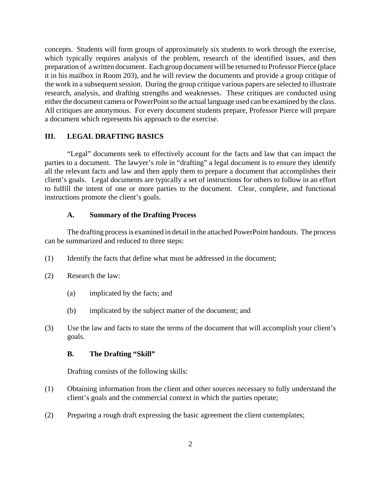concepts. Students will form groups of approximately six students to work through the exercise, which typically requires analysis of the problem, research of the identified issues, and then preparation of a written document. Each group document will be returned to Professor Pierce (place it in his mailbox in Room 203), and he will review the documents and provide a group critique of the work in a subsequent session. During the group critique various papers are selected to illustrate research, analysis, and drafting strengths and weaknesses. These critiques are conducted using either the document camera or PowerPoint so the actual language used can be examined by the class. All critiques are anonymous. For every document students prepare, Professor Pierce will prepare a document which represents his approach to the exercise.

#### **III. LEGAL DRAFTING BASICS**

"Legal" documents seek to effectively account for the facts and law that can impact the parties to a document. The lawyer's role in "drafting" a legal document is to ensure they identify all the relevant facts and law and then apply them to prepare a document that accomplishes their client's goals. Legal documents are typically a set of instructions for others to follow in an effort to fulfill the intent of one or more parties to the document. Clear, complete, and functional instructions promote the client's goals.

#### **A. Summary of the Drafting Process**

The drafting process is examined in detail in the attached PowerPoint handouts. The process can be summarized and reduced to three steps:

- (1) Identify the facts that define what must be addressed in the document;
- (2) Research the law:
	- (a) implicated by the facts; and
	- (b) implicated by the subject matter of the document; and
- (3) Use the law and facts to state the terms of the document that will accomplish your client's goals.

#### **B. The Drafting "Skill"**

Drafting consists of the following skills:

- (1) Obtaining information from the client and other sources necessary to fully understand the client's goals and the commercial context in which the parties operate;
- (2) Preparing a rough draft expressing the basic agreement the client contemplates;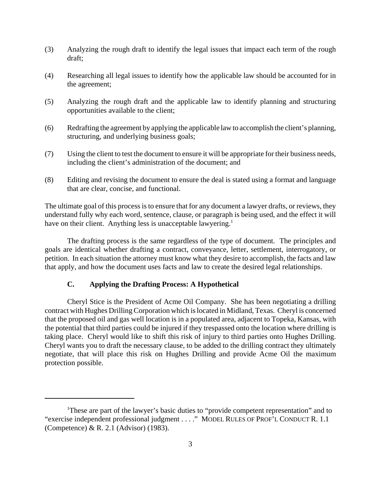- (3) Analyzing the rough draft to identify the legal issues that impact each term of the rough draft;
- (4) Researching all legal issues to identify how the applicable law should be accounted for in the agreement;
- (5) Analyzing the rough draft and the applicable law to identify planning and structuring opportunities available to the client;
- (6) Redrafting the agreement by applying the applicable law to accomplish the client's planning, structuring, and underlying business goals;
- (7) Using the client to test the document to ensure it will be appropriate for their business needs, including the client's administration of the document; and
- (8) Editing and revising the document to ensure the deal is stated using a format and language that are clear, concise, and functional.

The ultimate goal of this process is to ensure that for any document a lawyer drafts, or reviews, they understand fully why each word, sentence, clause, or paragraph is being used, and the effect it will have on their client. Anything less is unacceptable lawyering.<sup>1</sup>

The drafting process is the same regardless of the type of document. The principles and goals are identical whether drafting a contract, conveyance, letter, settlement, interrogatory, or petition. In each situation the attorney must know what they desire to accomplish, the facts and law that apply, and how the document uses facts and law to create the desired legal relationships.

#### **C. Applying the Drafting Process: A Hypothetical**

Cheryl Stice is the President of Acme Oil Company. She has been negotiating a drilling contract with Hughes Drilling Corporation which is located in Midland, Texas. Cheryl is concerned that the proposed oil and gas well location is in a populated area, adjacent to Topeka, Kansas, with the potential that third parties could be injured if they trespassed onto the location where drilling is taking place. Cheryl would like to shift this risk of injury to third parties onto Hughes Drilling. Cheryl wants you to draft the necessary clause, to be added to the drilling contract they ultimately negotiate, that will place this risk on Hughes Drilling and provide Acme Oil the maximum protection possible.

<sup>&</sup>lt;sup>1</sup>These are part of the lawyer's basic duties to "provide competent representation" and to "exercise independent professional judgment . . . ." MODEL RULES OF PROF'L CONDUCT R. 1.1 (Competence) & R. 2.1 (Advisor) (1983).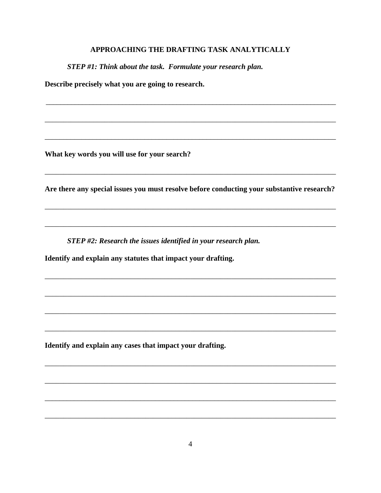#### APPROACHING THE DRAFTING TASK ANALYTICALLY

STEP #1: Think about the task. Formulate your research plan.

Describe precisely what you are going to research.

What key words you will use for your search?

Are there any special issues you must resolve before conducting your substantive research?

STEP #2: Research the issues identified in your research plan.

Identify and explain any statutes that impact your drafting.

Identify and explain any cases that impact your drafting.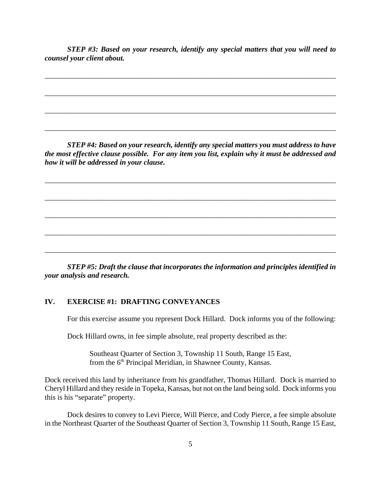*STEP #3: Based on your research, identify any special matters that you will need to counsel your client about.*

\_\_\_\_\_\_\_\_\_\_\_\_\_\_\_\_\_\_\_\_\_\_\_\_\_\_\_\_\_\_\_\_\_\_\_\_\_\_\_\_\_\_\_\_\_\_\_\_\_\_\_\_\_\_\_\_\_\_\_\_\_\_\_\_\_\_\_\_\_\_\_\_\_\_\_\_\_\_

\_\_\_\_\_\_\_\_\_\_\_\_\_\_\_\_\_\_\_\_\_\_\_\_\_\_\_\_\_\_\_\_\_\_\_\_\_\_\_\_\_\_\_\_\_\_\_\_\_\_\_\_\_\_\_\_\_\_\_\_\_\_\_\_\_\_\_\_\_\_\_\_\_\_\_\_\_\_

\_\_\_\_\_\_\_\_\_\_\_\_\_\_\_\_\_\_\_\_\_\_\_\_\_\_\_\_\_\_\_\_\_\_\_\_\_\_\_\_\_\_\_\_\_\_\_\_\_\_\_\_\_\_\_\_\_\_\_\_\_\_\_\_\_\_\_\_\_\_\_\_\_\_\_\_\_\_

\_\_\_\_\_\_\_\_\_\_\_\_\_\_\_\_\_\_\_\_\_\_\_\_\_\_\_\_\_\_\_\_\_\_\_\_\_\_\_\_\_\_\_\_\_\_\_\_\_\_\_\_\_\_\_\_\_\_\_\_\_\_\_\_\_\_\_\_\_\_\_\_\_\_\_\_\_\_

*STEP #4: Based on your research, identify any special matters you must address to have the most effective clause possible. For any item you list, explain why it must be addressed and how it will be addressed in your clause.*

\_\_\_\_\_\_\_\_\_\_\_\_\_\_\_\_\_\_\_\_\_\_\_\_\_\_\_\_\_\_\_\_\_\_\_\_\_\_\_\_\_\_\_\_\_\_\_\_\_\_\_\_\_\_\_\_\_\_\_\_\_\_\_\_\_\_\_\_\_\_\_\_\_\_\_\_\_\_\_

\_\_\_\_\_\_\_\_\_\_\_\_\_\_\_\_\_\_\_\_\_\_\_\_\_\_\_\_\_\_\_\_\_\_\_\_\_\_\_\_\_\_\_\_\_\_\_\_\_\_\_\_\_\_\_\_\_\_\_\_\_\_\_\_\_\_\_\_\_\_\_\_\_\_\_\_\_\_\_

\_\_\_\_\_\_\_\_\_\_\_\_\_\_\_\_\_\_\_\_\_\_\_\_\_\_\_\_\_\_\_\_\_\_\_\_\_\_\_\_\_\_\_\_\_\_\_\_\_\_\_\_\_\_\_\_\_\_\_\_\_\_\_\_\_\_\_\_\_\_\_\_\_\_\_\_\_\_

\_\_\_\_\_\_\_\_\_\_\_\_\_\_\_\_\_\_\_\_\_\_\_\_\_\_\_\_\_\_\_\_\_\_\_\_\_\_\_\_\_\_\_\_\_\_\_\_\_\_\_\_\_\_\_\_\_\_\_\_\_\_\_\_\_\_\_\_\_\_\_\_\_\_\_\_\_\_

\_\_\_\_\_\_\_\_\_\_\_\_\_\_\_\_\_\_\_\_\_\_\_\_\_\_\_\_\_\_\_\_\_\_\_\_\_\_\_\_\_\_\_\_\_\_\_\_\_\_\_\_\_\_\_\_\_\_\_\_\_\_\_\_\_\_\_\_\_\_\_\_\_\_\_\_\_\_

*STEP #5: Draft the clause that incorporates the information and principles identified in your analysis and research.*

#### **IV. EXERCISE #1: DRAFTING CONVEYANCES**

For this exercise assume you represent Dock Hillard. Dock informs you of the following:

Dock Hillard owns, in fee simple absolute, real property described as the:

Southeast Quarter of Section 3, Township 11 South, Range 15 East, from the 6<sup>th</sup> Principal Meridian, in Shawnee County, Kansas.

Dock received this land by inheritance from his grandfather, Thomas Hillard. Dock is married to Cheryl Hillard and they reside in Topeka, Kansas, but not on the land being sold. Dock informs you this is his "separate" property.

Dock desires to convey to Levi Pierce, Will Pierce, and Cody Pierce, a fee simple absolute in the Northeast Quarter of the Southeast Quarter of Section 3, Township 11 South, Range 15 East,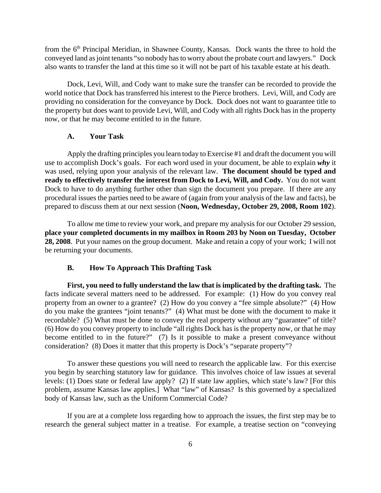from the 6<sup>th</sup> Principal Meridian, in Shawnee County, Kansas. Dock wants the three to hold the conveyed land as joint tenants "so nobody has to worry about the probate court and lawyers." Dock also wants to transfer the land at this time so it will not be part of his taxable estate at his death.

Dock, Levi, Will, and Cody want to make sure the transfer can be recorded to provide the world notice that Dock has transferred his interest to the Pierce brothers. Levi, Will, and Cody are providing no consideration for the conveyance by Dock. Dock does not want to guarantee title to the property but does want to provide Levi, Will, and Cody with all rights Dock has in the property now, or that he may become entitled to in the future.

#### **A. Your Task**

Apply the drafting principles you learn today to Exercise #1 and draft the document you will use to accomplish Dock's goals. For each word used in your document, be able to explain *why* it was used, relying upon your analysis of the relevant law. **The document should be typed and ready to effectively transfer the interest from Dock to Levi, Will, and Cody.** You do not want Dock to have to do anything further other than sign the document you prepare. If there are any procedural issues the parties need to be aware of (again from your analysis of the law and facts), be prepared to discuss them at our next session (**Noon, Wednesday, October 29, 2008, Room 102**).

To allow me time to review your work, and prepare my analysis for our October 29 session, **place your completed documents in my mailbox in Room 203 by Noon on Tuesday, October 28, 2008**. Put your names on the group document. Make and retain a copy of your work; I will not be returning your documents.

#### **B. How To Approach This Drafting Task**

**First, you need to fully understand the law that is implicated by the drafting task.** The facts indicate several matters need to be addressed. For example: (1) How do you convey real property from an owner to a grantee? (2) How do you convey a "fee simple absolute?" (4) How do you make the grantees "joint tenants?" (4) What must be done with the document to make it recordable? (5) What must be done to convey the real property without any "guarantee" of title? (6) How do you convey property to include "all rights Dock has is the property now, or that he may become entitled to in the future?" (7) Is it possible to make a present conveyance without consideration? (8) Does it matter that this property is Dock's "separate property"?

To answer these questions you will need to research the applicable law. For this exercise you begin by searching statutory law for guidance. This involves choice of law issues at several levels: (1) Does state or federal law apply? (2) If state law applies, which state's law? [For this problem, assume Kansas law applies.] What "law" of Kansas? Is this governed by a specialized body of Kansas law, such as the Uniform Commercial Code?

If you are at a complete loss regarding how to approach the issues, the first step may be to research the general subject matter in a treatise. For example, a treatise section on "conveying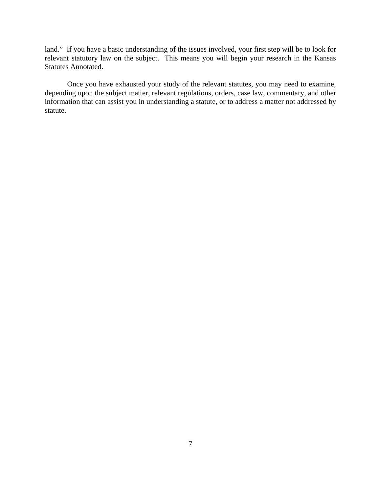land." If you have a basic understanding of the issues involved, your first step will be to look for relevant statutory law on the subject. This means you will begin your research in the Kansas Statutes Annotated.

Once you have exhausted your study of the relevant statutes, you may need to examine, depending upon the subject matter, relevant regulations, orders, case law, commentary, and other information that can assist you in understanding a statute, or to address a matter not addressed by statute.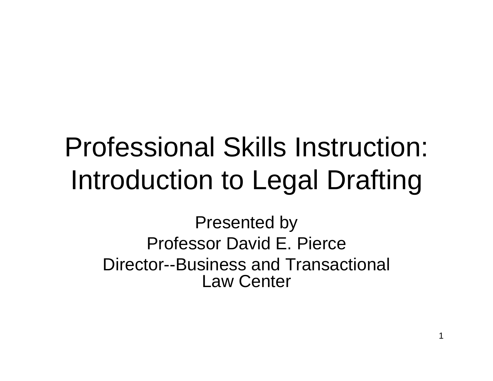# Professional Skills Instruction: Introduction to Legal Drafting

Presented by Professor David E. Pierce Director--Business and Transactional Law Center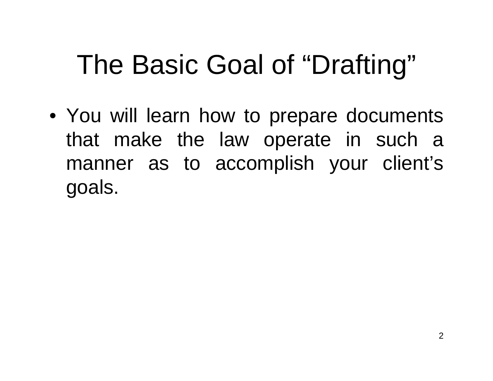# The Basic Goal of "Drafting"

• You will learn how to prepare documents that make the law operate in such a manner as to accomplish your client's goals.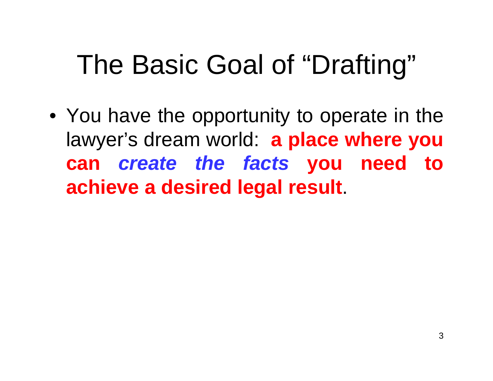# The Basic Goal of "Drafting"

• You have the opportunity to operate in the lawyer's dream world: **a place where you can** *create the facts* **you need to achieve a desired legal result**.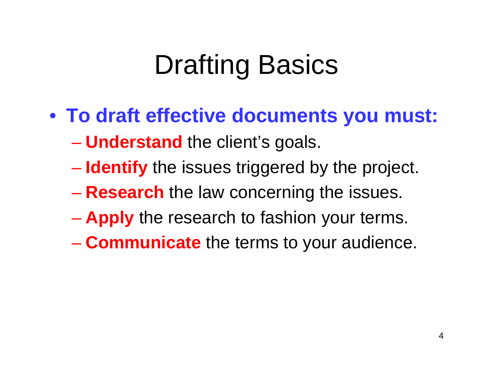# Drafting Basics

- **To draft effective documents you must:**
	- **Understand** the client's goals.
	- **Identify** the issues triggered by the project.
	- **Research** the law concerning the issues.
	- **Apply** the research to fashion your terms.
	- **Communicate** the terms to your audience.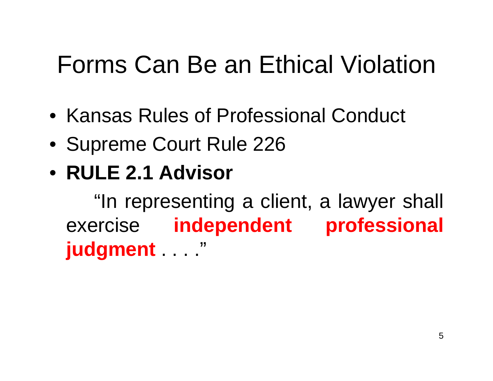### Forms Can Be an Ethical Violation

- Kansas Rules of Professional Conduct
- Supreme Court Rule 226

### • **RULE 2.1 Advisor**

"In representing a client, a lawyer shall exercise **independent professional judgment** . . . ."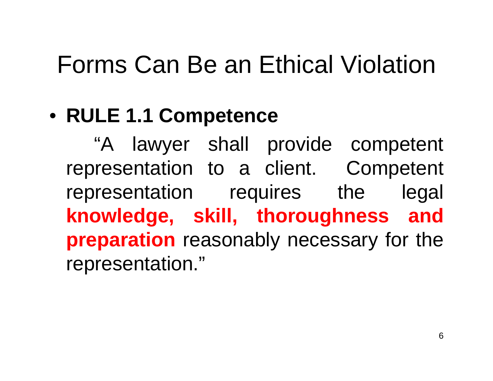### Forms Can Be an Ethical Violation

### • **RULE 1.1 Competence**

"A lawyer shall provide competent representation to a client. Competent representation requires the legal **knowledge, skill, thoroughness and preparation** reasonably necessary for the representation."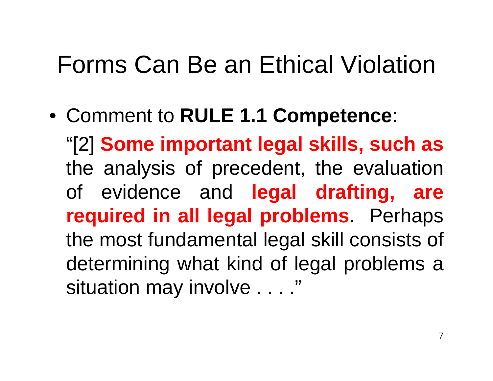### Forms Can Be an Ethical Violation

• Comment to **RULE 1.1 Competence**: "[2] **Some important legal skills, such as** the analysis of precedent, the evaluation of evidence and **legal drafting, are required in all legal problems**. Perhaps the most fundamental legal skill consists of determining what kind of legal problems a situation may involve . . . ."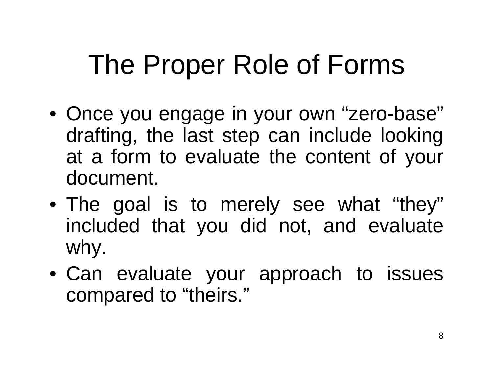- Once you engage in your own "zero-base" drafting, the last step can include looking at a form to evaluate the content of your document.
- The goal is to merely see what "they" included that you did not, and evaluate why.
- Can evaluate your approach to issues compared to "theirs."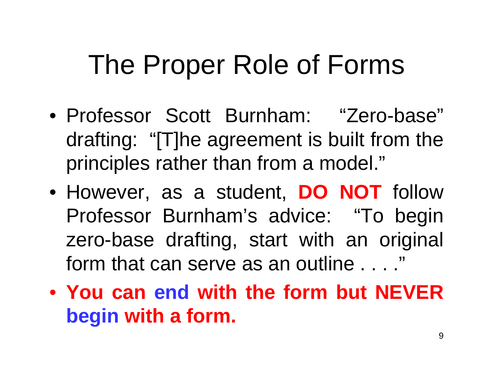- Professor Scott Burnham: "Zero-base" drafting: "[T]he agreement is built from the principles rather than from a model."
- However, as a student, **DO NOT** follow Professor Burnham's advice: "To begin zero-base drafting, start with an original form that can serve as an outline . . . ."
- **You can end with the form but NEVER begin with a form.**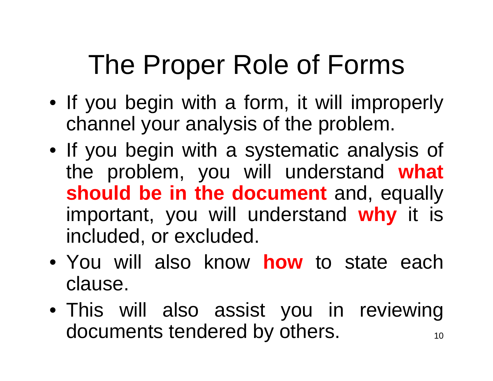- If you begin with a form, it will improperly channel your analysis of the problem.
- If you begin with a systematic analysis of the problem, you will understand **what should be in the document** and, equally important, you will understand **why** it is included, or excluded.
- You will also know **how** to state each clause.
- 10• This will also assist you in reviewing documents tendered by others.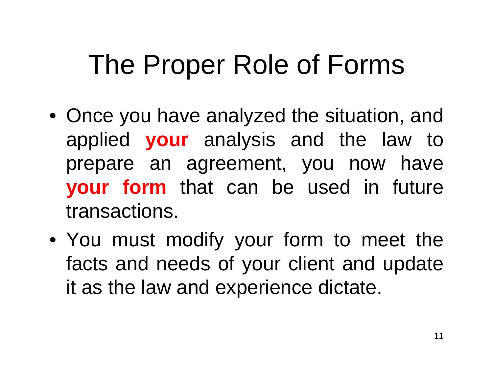- Once you have analyzed the situation, and applied **your** analysis and the law to prepare an agreement, you now have **your form** that can be used in future transactions.
- You must modify your form to meet the facts and needs of your client and update it as the law and experience dictate.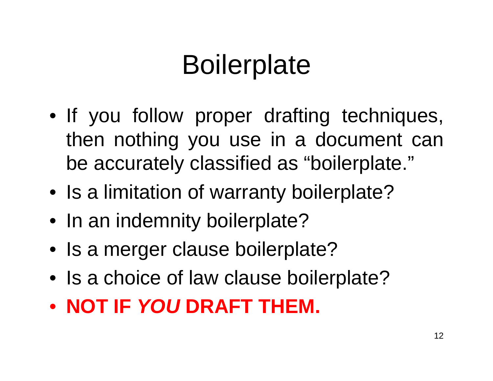# **Boilerplate**

- If you follow proper drafting techniques, then nothing you use in a document can be accurately classified as "boilerplate."
- Is a limitation of warranty boilerplate?
- In an indemnity boilerplate?
- Is a merger clause boilerplate?
- Is a choice of law clause boilerplate?
- **NOT IF** *YOU* **DRAFT THEM.**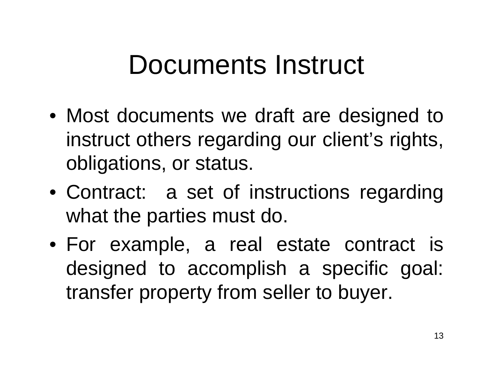### Documents Instruct

- Most documents we draft are designed to instruct others regarding our client's rights, obligations, or status.
- Contract: a set of instructions regarding what the parties must do.
- For example, a real estate contract is designed to accomplish a specific goal: transfer property from seller to buyer.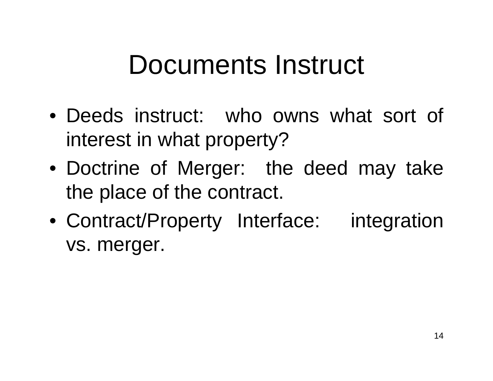### Documents Instruct

- Deeds instruct: who owns what sort of interest in what property?
- Doctrine of Merger: the deed may take the place of the contract.
- Contract/Property Interface: integration vs. merger.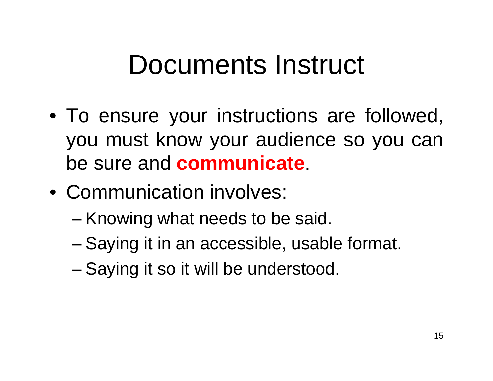### Documents Instruct

- To ensure your instructions are followed, you must know your audience so you can be sure and **communicate**.
- Communication involves:
	- –Knowing what needs to be said.
	- –Saying it in an accessible, usable format.
	- –Saying it so it will be understood.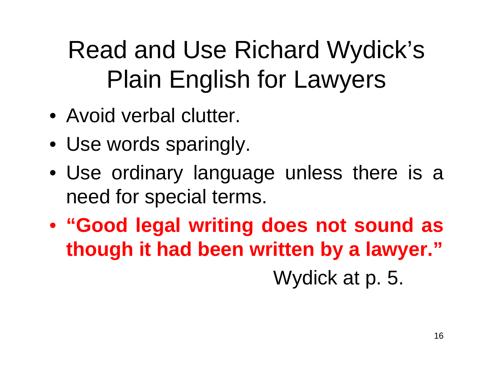- Avoid verbal clutter.
- Use words sparingly.
- Use ordinary language unless there is a need for special terms.
- **"Good legal writing does not sound as though it had been written by a lawyer."** Wydick at p. 5.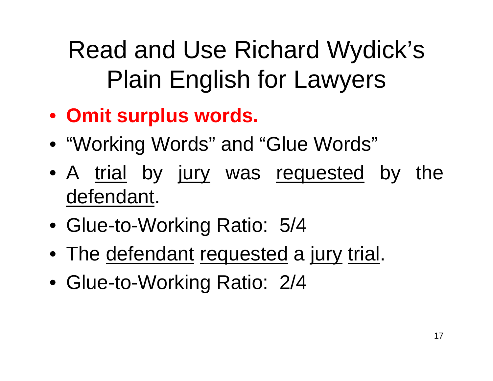- **Omit surplus words.**
- "Working Words" and "Glue Words"
- A <u>trial</u> by <u>jury</u> was <u>requested</u> by the defendant.
- Glue-to-Working Ratio: 5/4
- The <u>defendant</u> requested a jury trial.
- Glue-to-Working Ratio: 2/4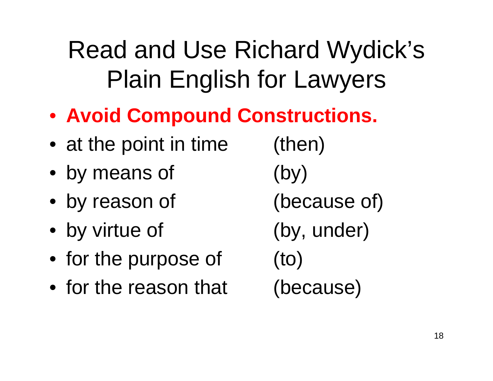- **Avoid Compound Constructions.**
- at the point in time (then)
- by means of (by)
- by reason of (because of)
- by virtue of (by, under)
- for the purpose of (to)
- for the reason that (because)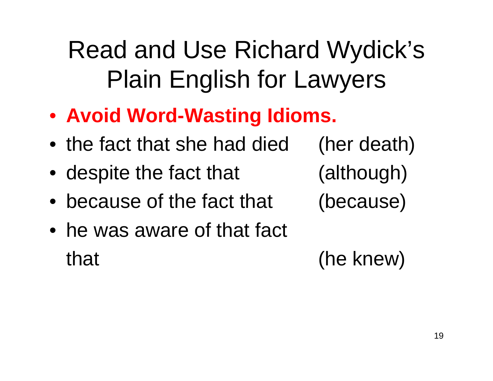- **Avoid Word-Wasting Idioms.**
- the fact that she had died (her death)
- despite the fact that (although)
- because of the fact that (because)
- he was aware of that fact that (he knew)

19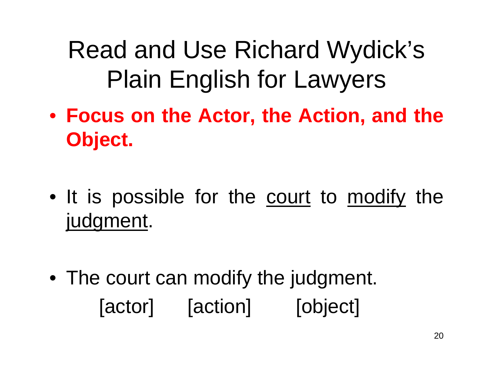- **Focus on the Actor, the Action, and the Object.**
- It is possible for the <u>court</u> to <u>modify</u> the judgment.
- The court can modify the judgment. [actor] [action] [object]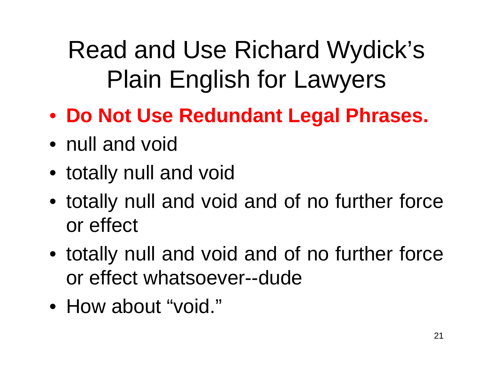- **Do Not Use Redundant Legal Phrases.**
- null and void
- totally null and void
- totally null and void and of no further force or effect
- totally null and void and of no further force or effect whatsoever--dude
- How about "void."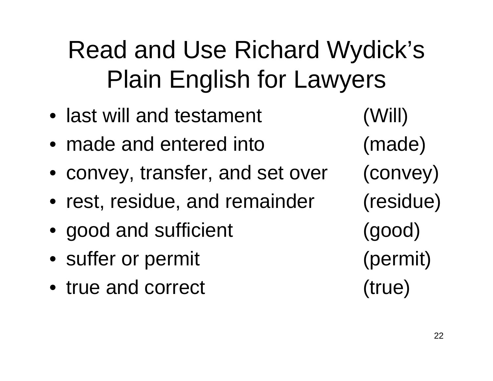- last will and testament (Will)
- made and entered into (made)
- convey, transfer, and set over (convey)
- rest, residue, and remainder (residue)
- good and sufficient (good)
- suffer or permit (permit)
- true and correct (true)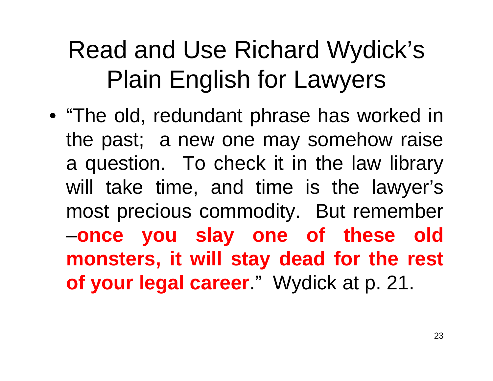• "The old, redundant phrase has worked in the past; a new one may somehow raise a question. To check it in the law library will take time, and time is the lawyer's most precious commodity. But remember –**once you slay one of these old monsters, it will stay dead for the rest of your legal career**." Wydick at p. 21.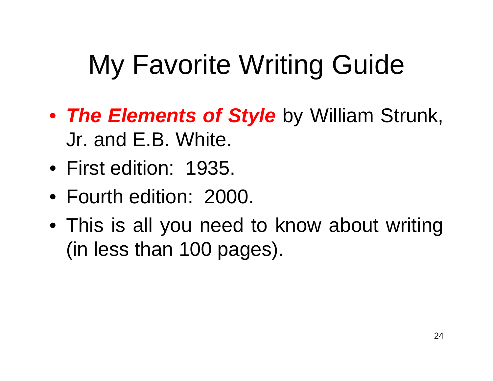# My Favorite Writing Guide

- *The Elements of Style* by William Strunk, Jr. and E.B. White.
- First edition: 1935.
- Fourth edition: 2000.
- This is all you need to know about writing (in less than 100 pages).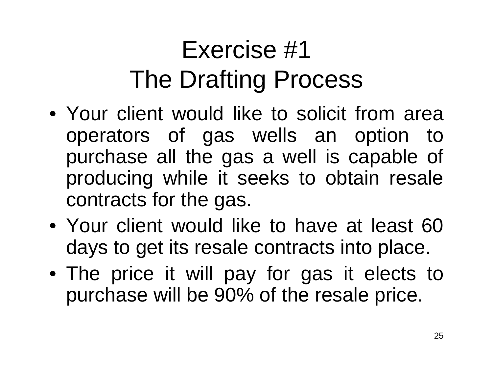# Exercise #1 The Drafting Process

- Your client would like to solicit from area operators of gas wells an option to purchase all the gas a well is capable of producing while it seeks to obtain resale contracts for the gas.
- Your client would like to have at least 60 days to get its resale contracts into place.
- The price it will pay for gas it elects to purchase will be 90% of the resale price.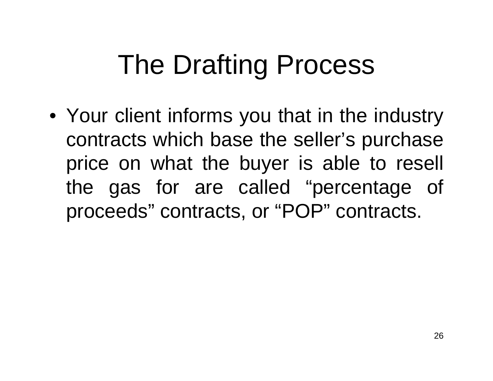• Your client informs you that in the industry contracts which base the seller's purchase price on what the buyer is able to resell the gas for are called "percentage of proceeds" contracts, or "POP" contracts.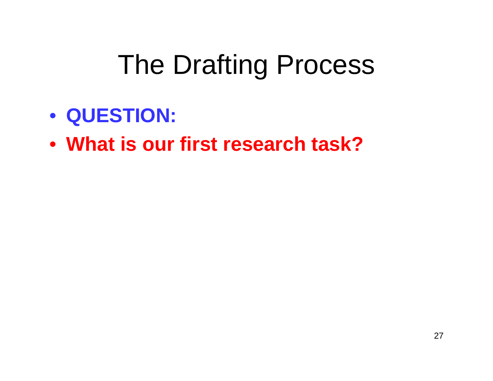- **QUESTION:**
- **What is our first research task?**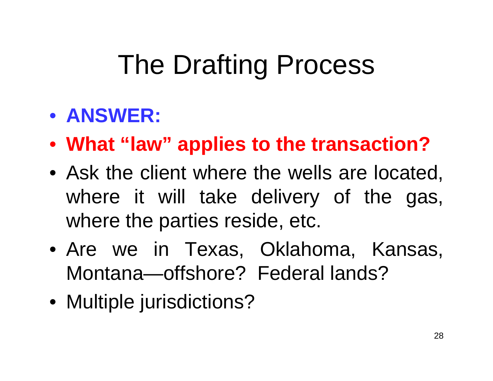#### • **ANSWER:**

- **What "law" applies to the transaction?**
- Ask the client where the wells are located, where it will take delivery of the gas, where the parties reside, etc.
- Are we in Texas, Oklahoma, Kansas, Montana—offshore? Federal lands?
- Multiple jurisdictions?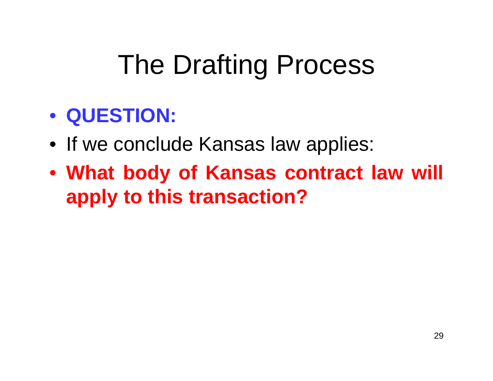#### • **QUESTION:**

- If we conclude Kansas law applies:
- **What body of Kansas contract law will apply to this transaction?**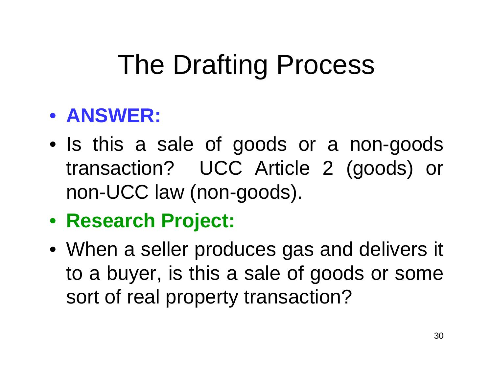#### • **ANSWER:**

- Is this a sale of goods or a non-goods transaction? UCC Article 2 (goods) or non-UCC law (non-goods).
- **Research Project:**
- When a seller produces gas and delivers it to a buyer, is this a sale of goods or some sort of real property transaction?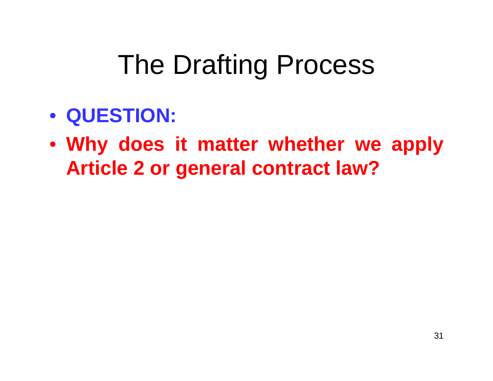- **QUESTION:**
- **Why does it matter whether we apply Article 2 or general contract law?**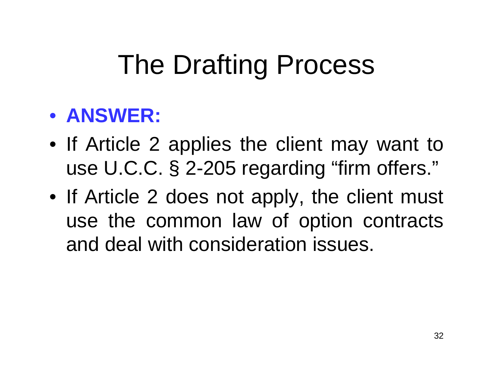#### • **ANSWER:**

- If Article 2 applies the client may want to use U.C.C. § 2-205 regarding "firm offers."
- If Article 2 does not apply, the client must use the common law of option contracts and deal with consideration issues.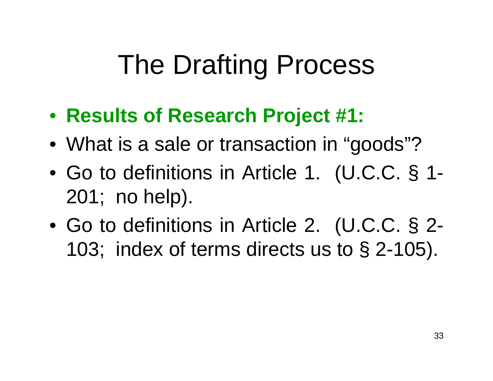- **Results of Research Project #1:**
- What is a sale or transaction in "goods"?
- Go to definitions in Article 1. (U.C.C. § 1- 201; no help).
- Go to definitions in Article 2. (U.C.C. § 2- 103; index of terms directs us to § 2-105).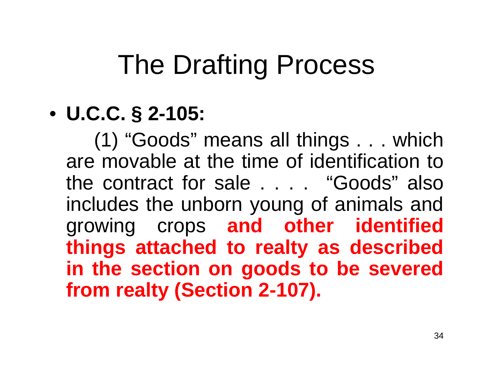#### • **U.C.C. § 2-105:**

(1) "Goods" means all things . . . which are movable at the time of identification to the contract for sale . . . . "Goods" also includes the unborn young of animals and growing crops **and other identified things attached to realty as described in the section on goods to be severed from realty (Section 2-107).**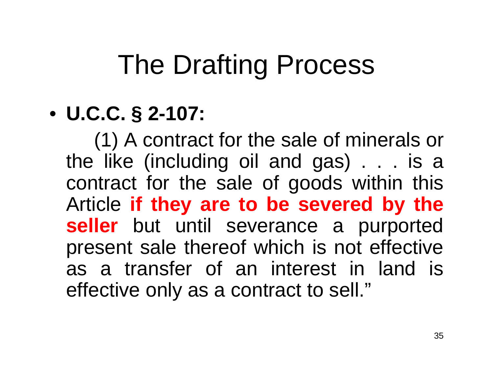#### • **U.C.C. § 2-107:**

(1) A contract for the sale of minerals or the like (including oil and gas) . . . is a contract for the sale of goods within this Article **if they are to be severed by the seller** but until severance a purported present sale thereof which is not effective as a transfer of an interest in land is effective only as a contract to sell."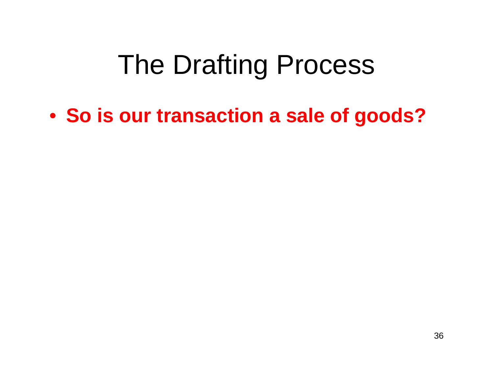• **So is our transaction a sale of goods?**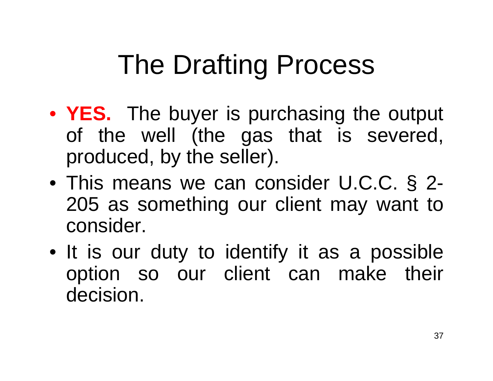- **YES.** The buyer is purchasing the output of the well (the gas that is severed, produced, by the seller).
- This means we can consider U.C.C. § 2- 205 as something our client may want to consider.
- It is our duty to identify it as a possible option so our client can make their decision.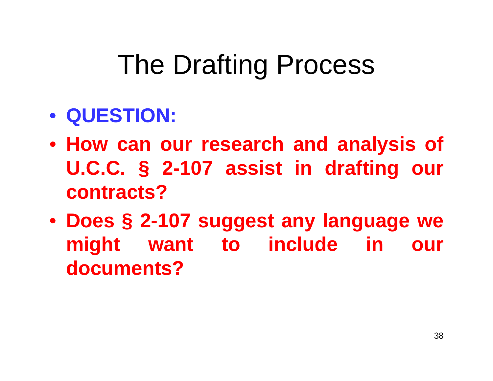#### • **QUESTION:**

- **How can our research and analysis of U.C.C. § 2-107 assist in drafting our contracts?**
- **Does § 2-107 suggest any language we might want to include in our documents?**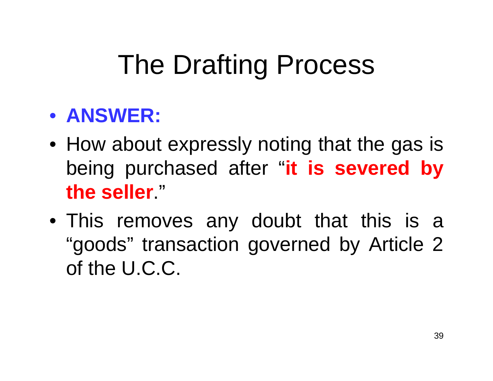#### • **ANSWER:**

- How about expressly noting that the gas is being purchased after "**it is severed by the seller**."
- This removes any doubt that this is a "goods" transaction governed by Article 2 of the U.C.C.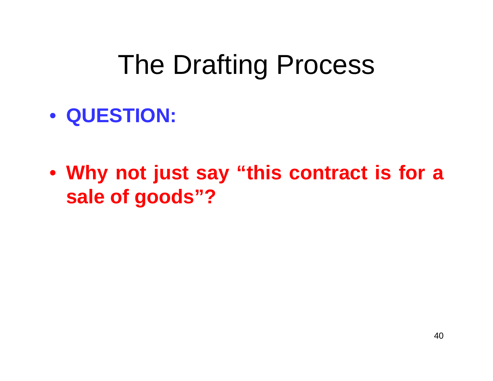- **QUESTION:**
- **Why not just say "this contract is for a sale of goods"?**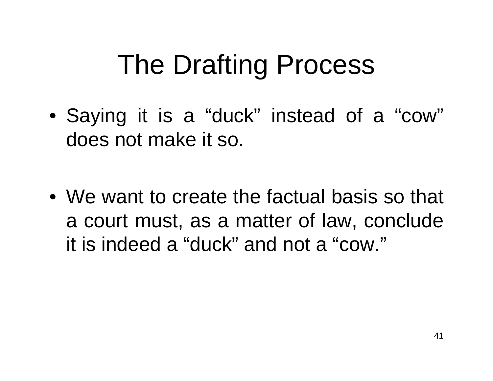- Saying it is a "duck" instead of a "cow" does not make it so.
- We want to create the factual basis so that a court must, as a matter of law, conclude it is indeed a "duck" and not a "cow."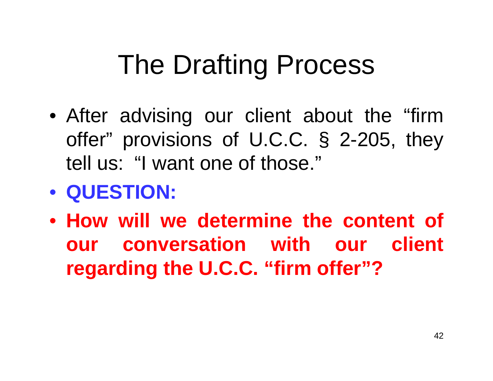- After advising our client about the "firm offer" provisions of U.C.C. § 2-205, they tell us: "I want one of those."
- **QUESTION:**
- **How will we determine the content of our conversation with our client regarding the U.C.C. "firm offer"?**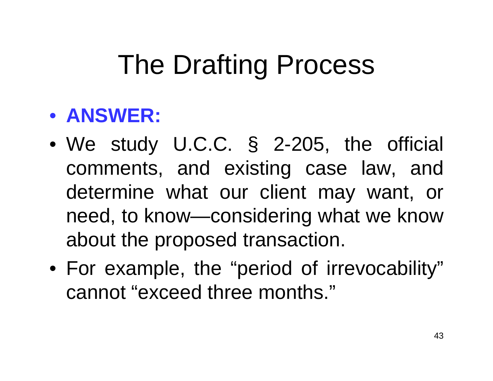#### • **ANSWER:**

- We study U.C.C. § 2-205, the official comments, and existing case law, and determine what our client may want, or need, to know—considering what we know about the proposed transaction.
- For example, the "period of irrevocability" cannot "exceed three months."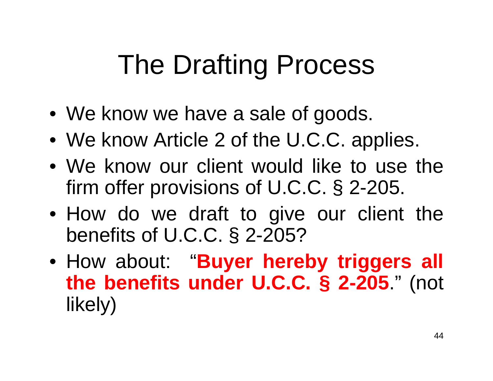- We know we have a sale of goods.
- We know Article 2 of the U.C.C. applies.
- We know our client would like to use the firm offer provisions of U.C.C. § 2-205.
- How do we draft to give our client the benefits of U.C.C. § 2-205?
- How about: "**Buyer hereby triggers all the benefits under U.C.C. § 2-205**." (not likely)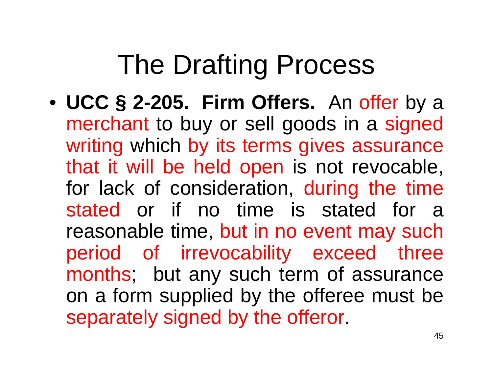• **UCC § 2-205. Firm Offers.** An offer by a merchant to buy or sell goods in a signed writing which by its terms gives assurance that it will be held open is not revocable, for lack of consideration, during the time stated or if no time is stated for a reasonable time, but in no event may such period of irrevocability exceed three months; but any such term of assurance on a form supplied by the offeree must be separately signed by the offeror.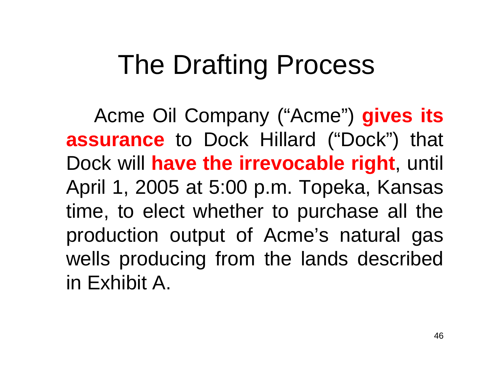Acme Oil Company ("Acme") **gives its assurance** to Dock Hillard ("Dock") that Dock will **have the irrevocable right**, until April 1, 2005 at 5:00 p.m. Topeka, Kansas time, to elect whether to purchase all the production output of Acme's natural gas wells producing from the lands described in Exhibit A.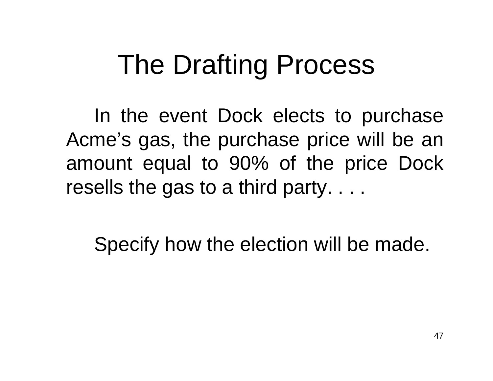In the event Dock elects to purchase Acme's gas, the purchase price will be an amount equal to 90% of the price Dock resells the gas to a third party. . . .

Specify how the election will be made.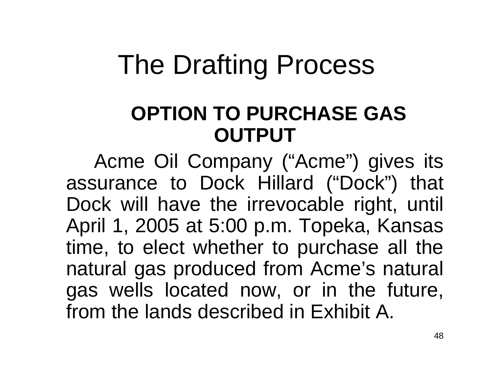#### **OPTION TO PURCHASE GAS OUTPUT**

Acme Oil Company ("Acme") gives its assurance to Dock Hillard ("Dock") that Dock will have the irrevocable right, until April 1, 2005 at 5:00 p.m. Topeka, Kansas time, to elect whether to purchase all the natural gas produced from Acme's natural gas wells located now, or in the future, from the lands described in Exhibit A.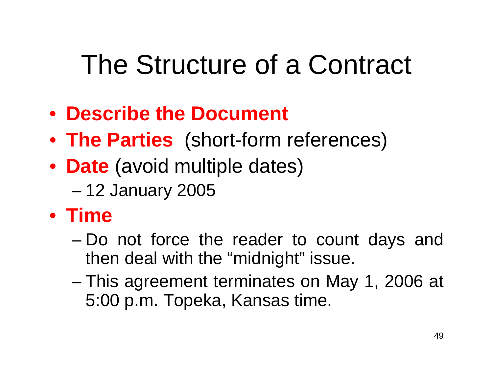# The Structure of a Contract

- **Describe the Document**
- **The Parties** (short-form references)
- **Date** (avoid multiple dates)
	- –12 January 2005
- **Time**
	- Do not force the reader to count days and then deal with the "midnight" issue.
	- – This agreement terminates on May 1, 2006 at 5:00 p.m. Topeka, Kansas time.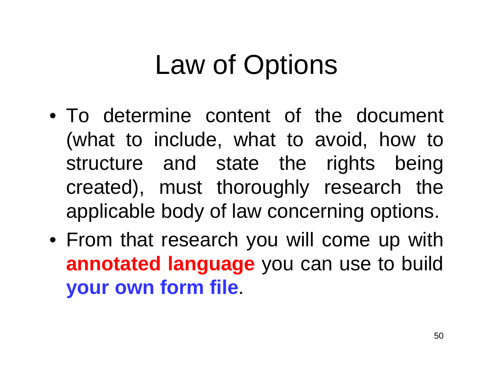# Law of Options

- To determine content of the document (what to include, what to avoid, how to structure and state the rights being created), must thoroughly research the applicable body of law concerning options.
- From that research you will come up with **annotated language** you can use to build **your own form file**.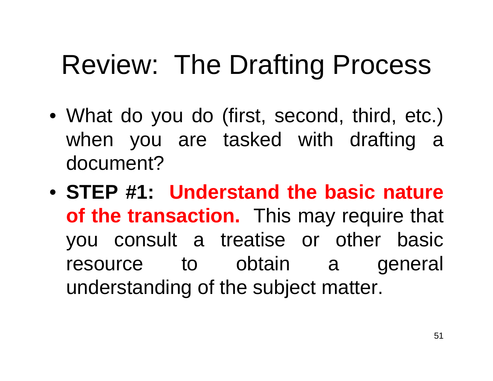### Review: The Drafting Process

- What do you do (first, second, third, etc.) when you are tasked with drafting a document?
- **STEP #1: Understand the basic nature of the transaction.** This may require that you consult a treatise or other basic resource to obtain a general understanding of the subject matter.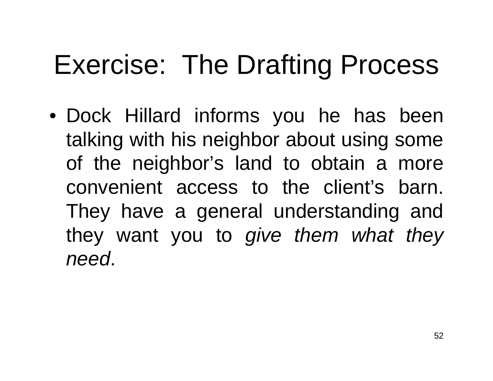## Exercise: The Drafting Process

• Dock Hillard informs you he has been talking with his neighbor about using some of the neighbor's land to obtain a more convenient access to the client's barn. They have a general understanding and they want you to *give them what they need*.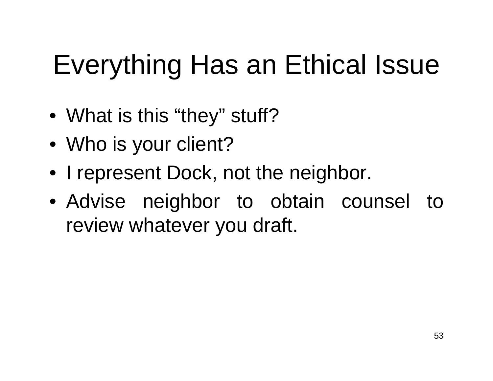# Everything Has an Ethical Issue

- What is this "they" stuff?
- Who is your client?
- I represent Dock, not the neighbor.
- Advise neighbor to obtain counsel to review whatever you draft.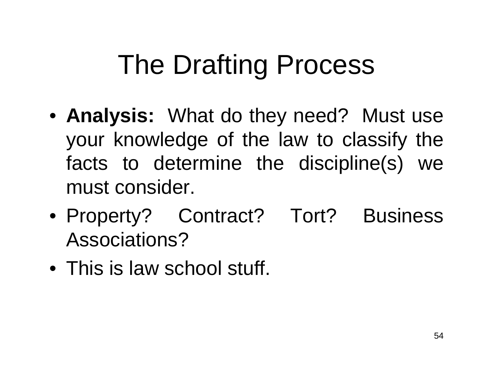- **Analysis:** What do they need? Must use your knowledge of the law to classify the facts to determine the discipline(s) we must consider.
- Property? Contract? Tort? Business Associations?
- This is law school stuff.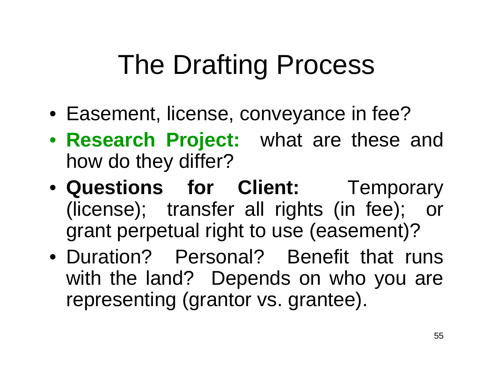- Easement, license, conveyance in fee?
- **Research Project:** what are these and how do they differ?
- **Questions for Client:** Temporary (license); transfer all rights (in fee); or grant perpetual right to use (easement)?
- Duration? Personal? Benefit that runs with the land? Depends on who you are representing (grantor vs. grantee).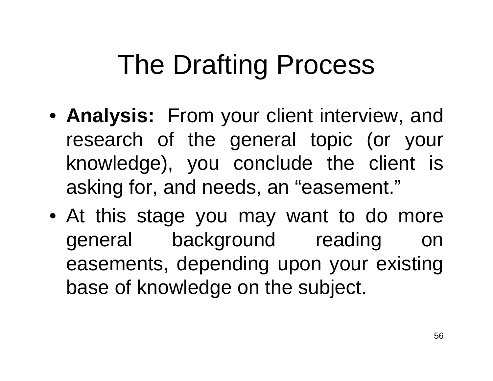- **Analysis:** From your client interview, and research of the general topic (or your knowledge), you conclude the client is asking for, and needs, an "easement."
- At this stage you may want to do more general background reading on easements, depending upon your existing base of knowledge on the subject.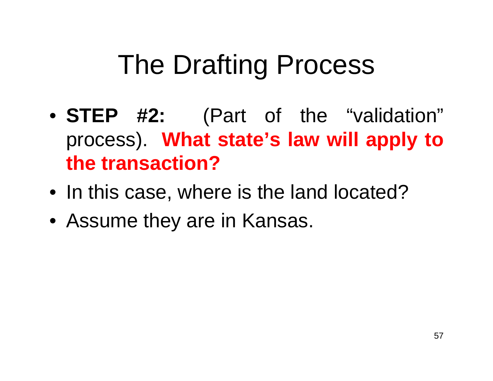- **STEP #2:** (Part of the "validation" process). **What state's law will apply to the transaction?**
- In this case, where is the land located?
- Assume they are in Kansas.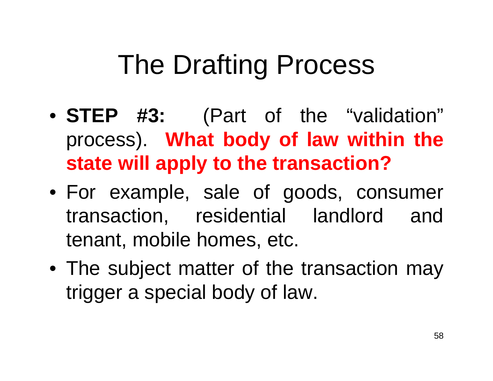- **STEP #3:** (Part of the "validation" process). **What body of law within the state will apply to the transaction?**
- For example, sale of goods, consumer transaction, residential landlord and tenant, mobile homes, etc.
- The subject matter of the transaction may trigger a special body of law.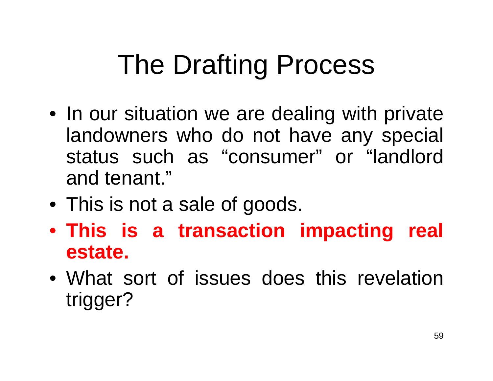- In our situation we are dealing with private landowners who do not have any special status such as "consumer" or "landlord and tenant."
- This is not a sale of goods.
- **This is a transaction impacting real estate.**
- What sort of issues does this revelation trigger?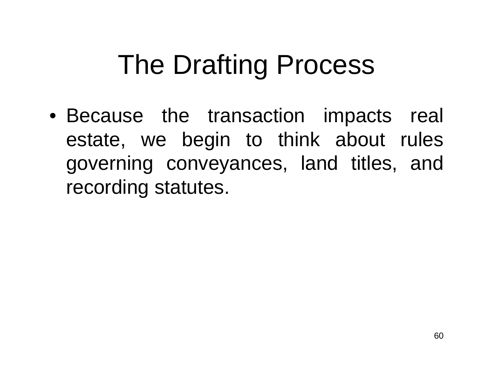• Because the transaction impacts real estate, we begin to think about rules governing conveyances, land titles, and recording statutes.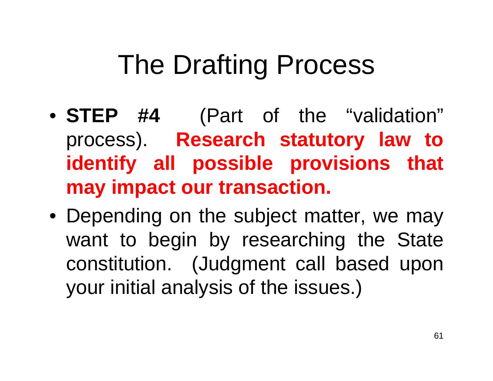- **STEP #4** (Part of the "validation" process). **Research statutory law to identify all possible provisions that may impact our transaction.**
- Depending on the subject matter, we may want to begin by researching the State constitution. (Judgment call based upon your initial analysis of the issues.)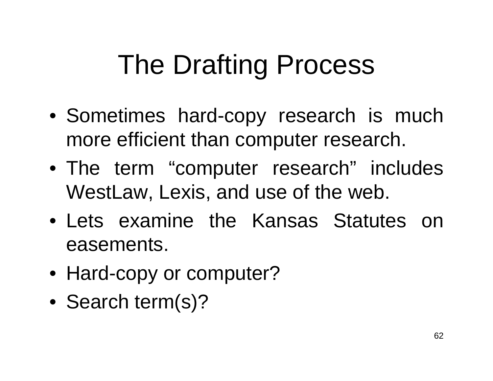- Sometimes hard-copy research is much more efficient than computer research.
- The term "computer research" includes WestLaw, Lexis, and use of the web.
- Lets examine the Kansas Statutes on easements.
- Hard-copy or computer?
- Search term(s)?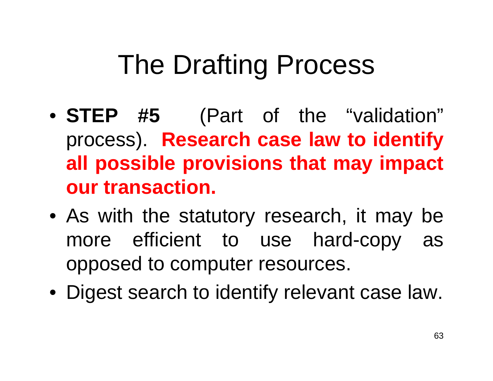- **STEP #5** (Part of the "validation" process). **Research case law to identify all possible provisions that may impact our transaction.**
- As with the statutory research, it may be more efficient to use hard-copy as opposed to computer resources.
- Digest search to identify relevant case law.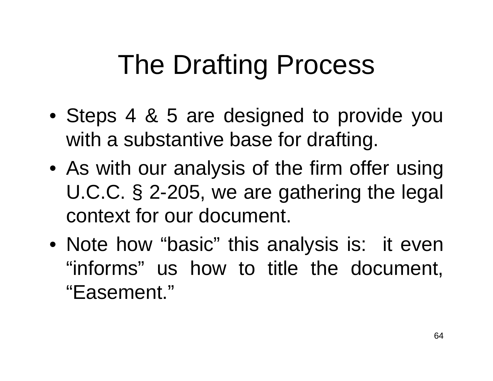- Steps 4 & 5 are designed to provide you with a substantive base for drafting.
- As with our analysis of the firm offer using U.C.C. § 2-205, we are gathering the legal context for our document.
- Note how "basic" this analysis is: it even "informs" us how to title the document, "Easement."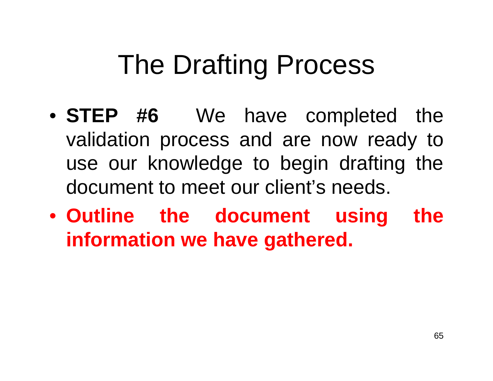- **STEP #6** We have completed the validation process and are now ready to use our knowledge to begin drafting the document to meet our client's needs.
- **Outline the document using the information we have gathered.**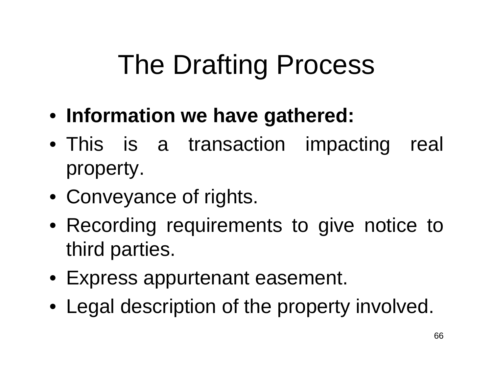- **Information we have gathered:**
- This is a transaction impacting real property.
- Conveyance of rights.
- Recording requirements to give notice to third parties.
- Express appurtenant easement.
- Legal description of the property involved.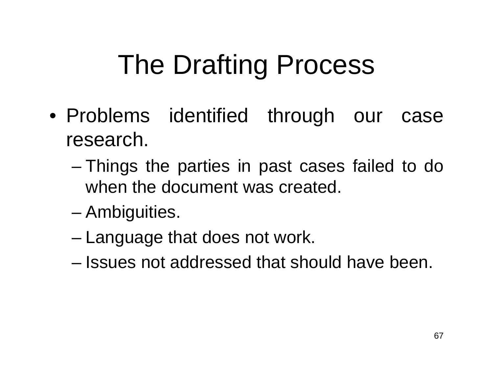- Problems identified through our case research.
	- – Things the parties in past cases failed to do when the document was created.
	- Ambiguities.
	- –Language that does not work.
	- Issues not addressed that should have been.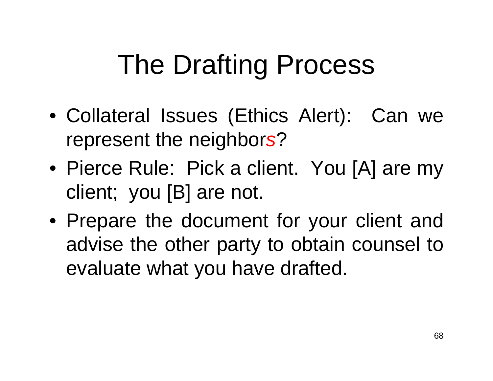- Collateral Issues (Ethics Alert): Can we represent the neighbor *s* ?
- Pierce Rule: Pick a client. You [A] are my client; you [B] are not.
- Prepare the document for your client and advise the other party to obtain counsel to evaluate what you have drafted.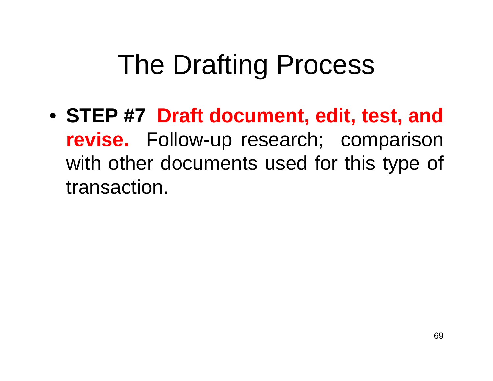• **STEP #7 Draft document, edit, test, and revise.** Follow-up research; comparison with other documents used for this type of transaction.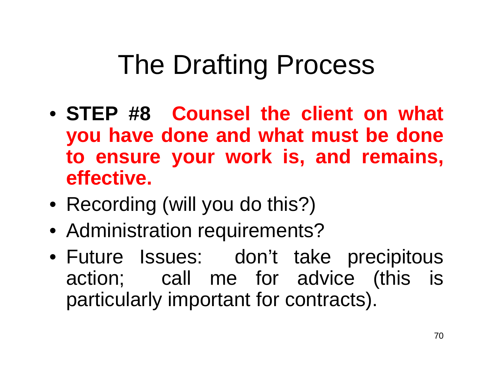- **STEP #8 Counsel the client on what you have done and what must be done to ensure your work is, and remains, effective.**
- Recording (will you do this?)
- Administration requirements?
- Future Issues: don't take precipitous action; call me for advice (this is particularly important for contracts).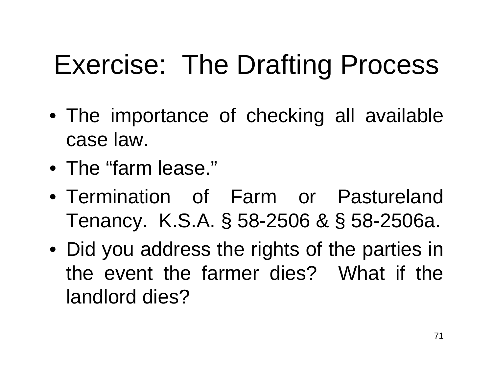## Exercise: The Drafting Process

- The importance of checking all available case law.
- The "farm lease."
- Termination of Farm or Pastureland Tenancy. K.S.A. § 58-2506 & § 58-2506a.
- Did you address the rights of the parties in the event the farmer dies? What if the landlord dies?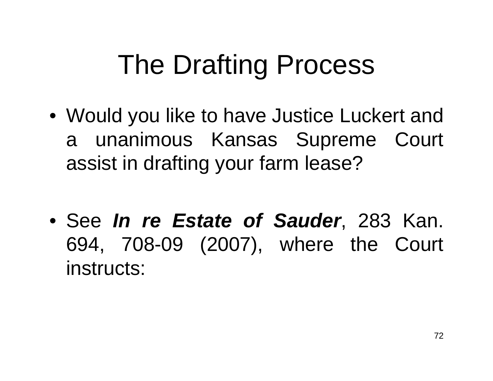- Would you like to have Justice Luckert and a unanimous Kansas Supreme Court assist in drafting your farm lease?
- See *In re Estate of Sauder*, 283 Kan. 694, 708-09 (2007), where the Court instructs: